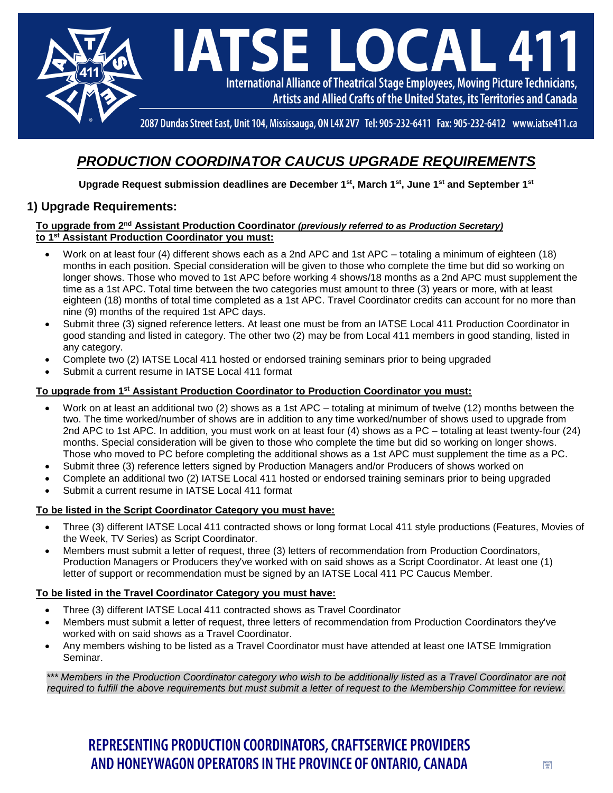

## *PRODUCTION COORDINATOR CAUCUS UPGRADE REQUIREMENTS*

**Upgrade Request submission deadlines are December 1st , March 1st, June 1st and September 1st**

## **1) Upgrade Requirements:**

### **To upgrade from 2 nd Assistant Production Coordinator** *(previously referred to as Production Secretary)* **to 1 st Assistant Production Coordinator you must:**

- Work on at least four (4) different shows each as a 2nd APC and 1st APC totaling a minimum of eighteen (18) months in each position. Special consideration will be given to those who complete the time but did so working on longer shows. Those who moved to 1st APC before working 4 shows/18 months as a 2nd APC must supplement the time as a 1st APC. Total time between the two categories must amount to three (3) years or more, with at least eighteen (18) months of total time completed as a 1st APC. Travel Coordinator credits can account for no more than nine (9) months of the required 1st APC days.
- Submit three (3) signed reference letters. At least one must be from an IATSE Local 411 Production Coordinator in good standing and listed in category. The other two (2) may be from Local 411 members in good standing, listed in any category.
- Complete two (2) IATSE Local 411 hosted or endorsed training seminars prior to being upgraded
- Submit a current resume in IATSE Local 411 format

### **To upgrade from 1 st Assistant Production Coordinator to Production Coordinator you must:**

- Work on at least an additional two (2) shows as a 1st APC totaling at minimum of twelve (12) months between the two. The time worked/number of shows are in addition to any time worked/number of shows used to upgrade from 2nd APC to 1st APC. In addition, you must work on at least four (4) shows as a PC – totaling at least twenty-four (24) months. Special consideration will be given to those who complete the time but did so working on longer shows. Those who moved to PC before completing the additional shows as a 1st APC must supplement the time as a PC.
- Submit three (3) reference letters signed by Production Managers and/or Producers of shows worked on
- Complete an additional two (2) IATSE Local 411 hosted or endorsed training seminars prior to being upgraded
- Submit a current resume in IATSE Local 411 format

### **To be listed in the Script Coordinator Category you must have:**

- Three (3) different IATSE Local 411 contracted shows or long format Local 411 style productions (Features, Movies of the Week, TV Series) as Script Coordinator.
- Members must submit a letter of request, three (3) letters of recommendation from Production Coordinators, Production Managers or Producers they've worked with on said shows as a Script Coordinator. At least one (1) letter of support or recommendation must be signed by an IATSE Local 411 PC Caucus Member.

### **To be listed in the Travel Coordinator Category you must have:**

- Three (3) different IATSE Local 411 contracted shows as Travel Coordinator
- Members must submit a letter of request, three letters of recommendation from Production Coordinators they've worked with on said shows as a Travel Coordinator.
- Any members wishing to be listed as a Travel Coordinator must have attended at least one IATSE Immigration Seminar.

*\*\*\* Members in the Production Coordinator category who wish to be additionally listed as a Travel Coordinator are not required to fulfill the above requirements but must submit a letter of request to the Membership Committee for review.*

# REPRESENTING PRODUCTION COORDINATORS, CRAFTSERVICE PROVIDERS AND HONEYWAGON OPERATORS IN THE PROVINCE OF ONTARIO, CANADA